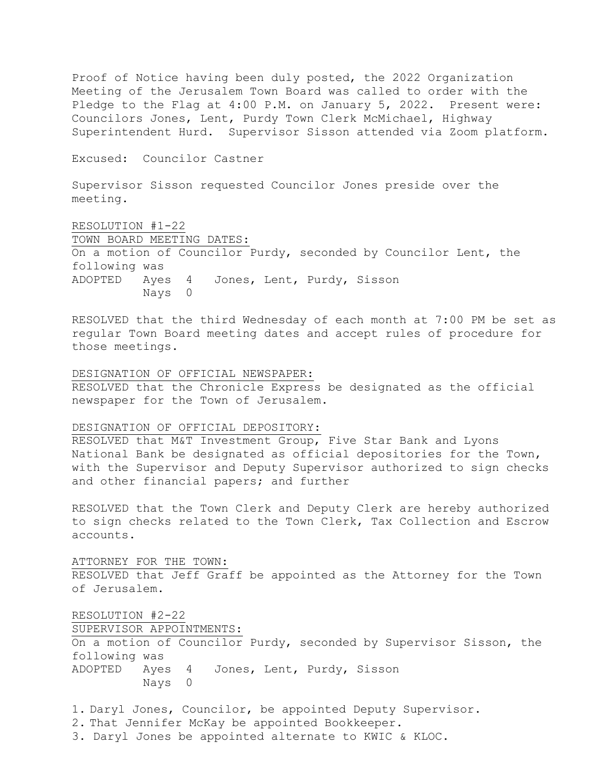Proof of Notice having been duly posted, the 2022 Organization Meeting of the Jerusalem Town Board was called to order with the Pledge to the Flag at 4:00 P.M. on January 5, 2022. Present were: Councilors Jones, Lent, Purdy Town Clerk McMichael, Highway Superintendent Hurd. Supervisor Sisson attended via Zoom platform.

Excused: Councilor Castner

Supervisor Sisson requested Councilor Jones preside over the meeting.

RESOLUTION #1-22 TOWN BOARD MEETING DATES: On a motion of Councilor Purdy, seconded by Councilor Lent, the following was ADOPTED Ayes 4 Jones, Lent, Purdy, Sisson Nays 0

RESOLVED that the third Wednesday of each month at 7:00 PM be set as regular Town Board meeting dates and accept rules of procedure for those meetings.

## DESIGNATION OF OFFICIAL NEWSPAPER: RESOLVED that the Chronicle Express be designated as the official newspaper for the Town of Jerusalem.

## DESIGNATION OF OFFICIAL DEPOSITORY:

RESOLVED that M&T Investment Group, Five Star Bank and Lyons National Bank be designated as official depositories for the Town, with the Supervisor and Deputy Supervisor authorized to sign checks and other financial papers; and further

RESOLVED that the Town Clerk and Deputy Clerk are hereby authorized to sign checks related to the Town Clerk, Tax Collection and Escrow accounts.

ATTORNEY FOR THE TOWN:

RESOLVED that Jeff Graff be appointed as the Attorney for the Town of Jerusalem.

RESOLUTION #2-22 SUPERVISOR APPOINTMENTS: On a motion of Councilor Purdy, seconded by Supervisor Sisson, the following was ADOPTED Ayes 4 Jones, Lent, Purdy, Sisson Nays 0

1. Daryl Jones, Councilor, be appointed Deputy Supervisor.

2. That Jennifer McKay be appointed Bookkeeper.

3. Daryl Jones be appointed alternate to KWIC & KLOC.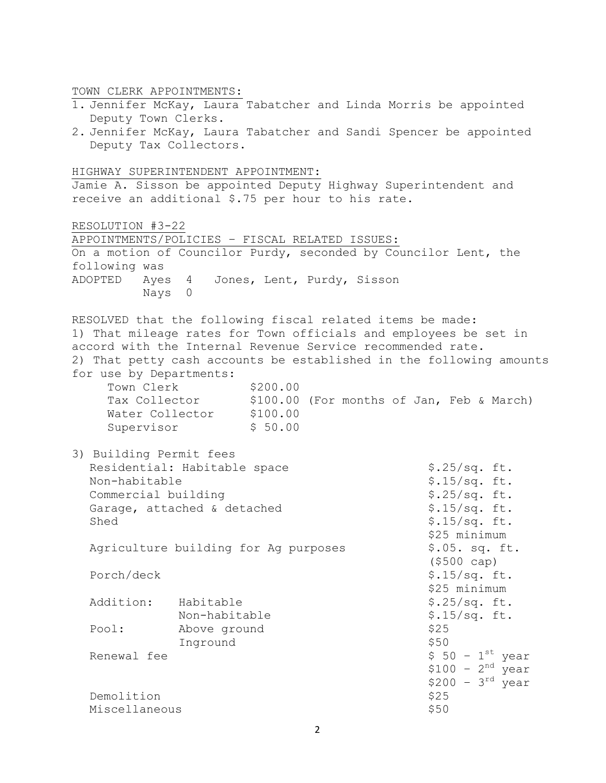TOWN CLERK APPOINTMENTS:

- 1. Jennifer McKay, Laura Tabatcher and Linda Morris be appointed Deputy Town Clerks.
- 2. Jennifer McKay, Laura Tabatcher and Sandi Spencer be appointed Deputy Tax Collectors.

HIGHWAY SUPERINTENDENT APPOINTMENT:

Jamie A. Sisson be appointed Deputy Highway Superintendent and receive an additional \$.75 per hour to his rate.

RESOLUTION #3-22 APPOINTMENTS/POLICIES – FISCAL RELATED ISSUES: On a motion of Councilor Purdy, seconded by Councilor Lent, the following was ADOPTED Ayes 4 Jones, Lent, Purdy, Sisson Nays 0 RESOLVED that the following fiscal related items be made: 1) That mileage rates for Town officials and employees be set in accord with the Internal Revenue Service recommended rate. 2) That petty cash accounts be established in the following amounts for use by Departments: Town Clerk \$200.00 \$100.00 (For months of Jan, Feb & March) Tax Collector \$100.00<br>Water Collector \$100.00 Supervisor \$ 50.00 3) Building Permit fees Residential: Habitable space \$.25/sq. ft. Non-habitable  $$.15/sq.$  ft. Commercial building  $$.25/sq.$  ft. Garage, attached & detached  $$.15/sq.$  ft.  $\text{Shed}$   $\text{S}_115/\text{sq. ft.}$ \$25 minimum Agriculture building for Ag purposes \$.05. sq. ft. (\$500 cap) Porch/deck \$.15/sq. ft. \$25 minimum Addition: Habitable \$.25/sq. ft. Non-habitable \$.15/sq. ft. Pool: Above ground \$25 Inground \$50 Renewal fee  $$ 50 - 1<sup>st</sup>$  year  $$100 - 2<sup>nd</sup> year$  $$200 - 3<sup>rd</sup>$  year

Demolition \$25 Miscellaneous **\$50**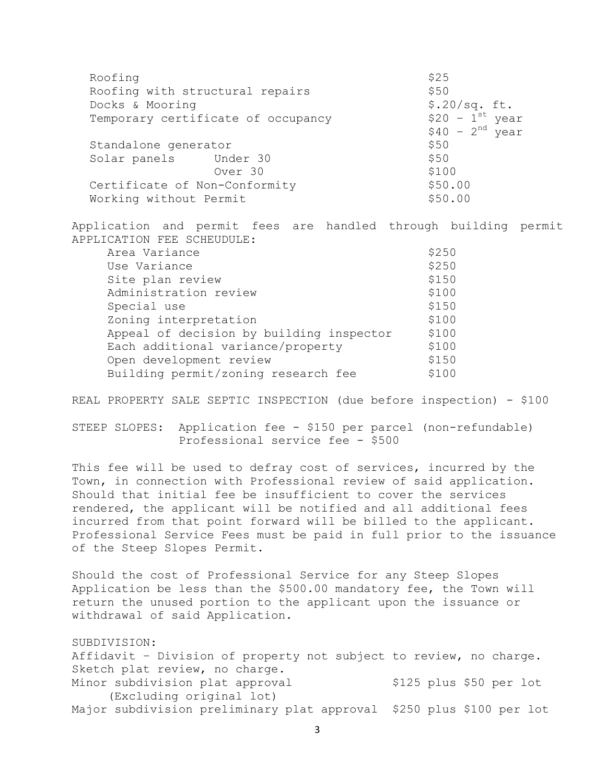| Roofing                                                                                               | \$25             |
|-------------------------------------------------------------------------------------------------------|------------------|
| Roofing with structural repairs                                                                       | \$50             |
| Docks & Mooring                                                                                       | \$.20/sq. ft.    |
| Temporary certificate of occupancy                                                                    | $$20 - 1st$ year |
|                                                                                                       | $$40 - 2nd$ year |
| Standalone generator                                                                                  | \$50             |
| Solar panels Under 30                                                                                 | \$50             |
| Over 30                                                                                               | \$100            |
| Certificate of Non-Conformity                                                                         | \$50.00          |
| Working without Permit                                                                                | \$50.00          |
|                                                                                                       |                  |
| Application and permit fees are handled through building permit<br>APPLICATION FEE SCHEUDULE:         |                  |
| Area Variance                                                                                         | \$250            |
| Use Variance                                                                                          | \$250            |
| Site plan review                                                                                      | \$150            |
| Administration review                                                                                 | \$100            |
| Special use                                                                                           | \$150            |
| Zoning interpretation                                                                                 | \$100            |
| Appeal of decision by building inspector                                                              | \$100            |
| Each additional variance/property                                                                     | \$100            |
| Open development review                                                                               | \$150            |
| Building permit/zoning research fee                                                                   | \$100            |
|                                                                                                       |                  |
| REAL PROPERTY SALE SEPTIC INSPECTION (due before inspection) - \$100                                  |                  |
| STEEP SLOPES: Application fee - \$150 per parcel (non-refundable)<br>Professional service fee - \$500 |                  |
| This fee will be used to defray cost of services, incurred by the                                     |                  |

Town, in connection with Professional review of said application. Should that initial fee be insufficient to cover the services rendered, the applicant will be notified and all additional fees incurred from that point forward will be billed to the applicant. Professional Service Fees must be paid in full prior to the issuance of the Steep Slopes Permit.

Should the cost of Professional Service for any Steep Slopes Application be less than the \$500.00 mandatory fee, the Town will return the unused portion to the applicant upon the issuance or withdrawal of said Application.

SUBDIVISION: Affidavit – Division of property not subject to review, no charge. Sketch plat review, no charge. Minor subdivision plat approval \$125 plus \$50 per lot (Excluding original lot) Major subdivision preliminary plat approval \$250 plus \$100 per lot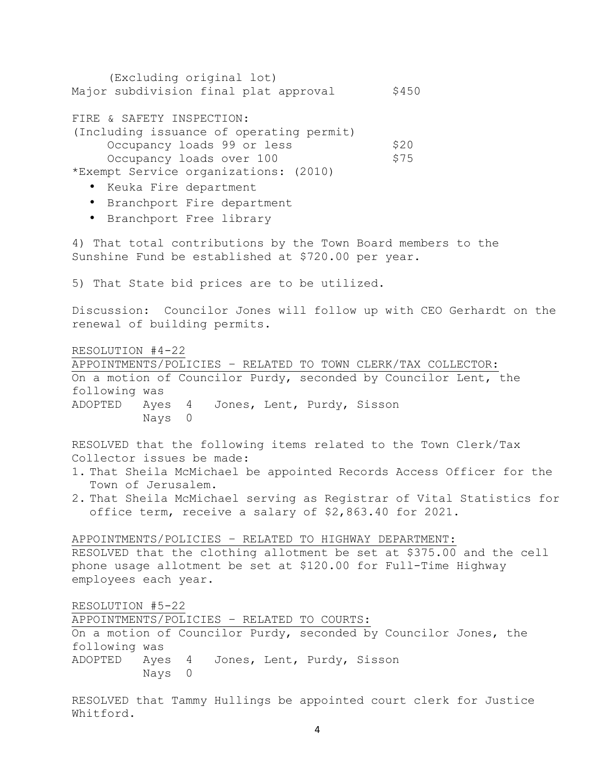| (Excluding original lot)<br>Major subdivision final plat approval                                                                                                                                                                                                                                                            | \$450        |  |
|------------------------------------------------------------------------------------------------------------------------------------------------------------------------------------------------------------------------------------------------------------------------------------------------------------------------------|--------------|--|
| FIRE & SAFETY INSPECTION:<br>(Including issuance of operating permit)<br>Occupancy loads 99 or less<br>Occupancy loads over 100<br>*Exempt Service organizations: (2010)<br>• Keuka Fire department<br>• Branchport Fire department<br>• Branchport Free library                                                             | \$20<br>\$75 |  |
| 4) That total contributions by the Town Board members to the<br>Sunshine Fund be established at \$720.00 per year.                                                                                                                                                                                                           |              |  |
| 5) That State bid prices are to be utilized.                                                                                                                                                                                                                                                                                 |              |  |
| Discussion: Councilor Jones will follow up with CEO Gerhardt on the<br>renewal of building permits.                                                                                                                                                                                                                          |              |  |
| RESOLUTION #4-22<br>APPOINTMENTS/POLICIES - RELATED TO TOWN CLERK/TAX COLLECTOR:<br>On a motion of Councilor Purdy, seconded by Councilor Lent, the<br>following was<br>ADOPTED<br>Ayes 4<br>Jones, Lent, Purdy, Sisson<br>Nays 0                                                                                            |              |  |
| RESOLVED that the following items related to the Town Clerk/Tax<br>Collector issues be made:<br>1. That Sheila McMichael be appointed Records Access Officer for the<br>Town of Jerusalem.<br>2. That Sheila McMichael serving as Registrar of Vital Statistics for<br>office term, receive a salary of \$2,863.40 for 2021. |              |  |
| APPOINTMENTS/POLICIES - RELATED TO HIGHWAY DEPARTMENT:<br>RESOLVED that the clothing allotment be set at \$375.00 and the cell<br>phone usage allotment be set at \$120.00 for Full-Time Highway<br>employees each year.                                                                                                     |              |  |
| RESOLUTION #5-22<br>APPOINTMENTS/POLICIES - RELATED TO COURTS:<br>On a motion of Councilor Purdy, seconded by Councilor Jones, the<br>following was<br>Ayes 4 Jones, Lent, Purdy, Sisson<br>ADOPTED<br>Nays 0                                                                                                                |              |  |
| RESOLVED that Tammy Hullings be appointed court clerk for Justice                                                                                                                                                                                                                                                            |              |  |

Whitford.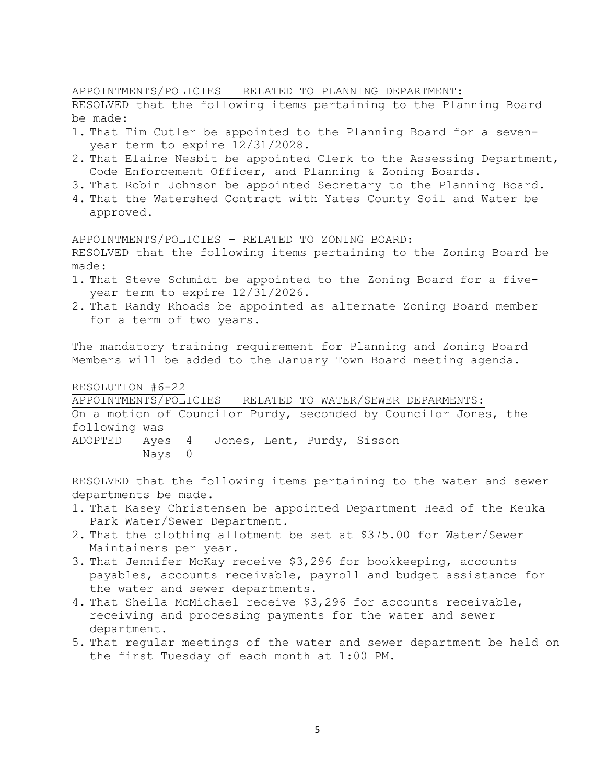APPOINTMENTS/POLICIES – RELATED TO PLANNING DEPARTMENT:

RESOLVED that the following items pertaining to the Planning Board be made:

- 1. That Tim Cutler be appointed to the Planning Board for a sevenyear term to expire 12/31/2028.
- 2. That Elaine Nesbit be appointed Clerk to the Assessing Department, Code Enforcement Officer, and Planning & Zoning Boards.
- 3. That Robin Johnson be appointed Secretary to the Planning Board.
- 4. That the Watershed Contract with Yates County Soil and Water be approved.

APPOINTMENTS/POLICIES – RELATED TO ZONING BOARD:

RESOLVED that the following items pertaining to the Zoning Board be made:

- 1. That Steve Schmidt be appointed to the Zoning Board for a fiveyear term to expire 12/31/2026.
- 2. That Randy Rhoads be appointed as alternate Zoning Board member for a term of two years.

The mandatory training requirement for Planning and Zoning Board Members will be added to the January Town Board meeting agenda.

RESOLUTION #6-22

APPOINTMENTS/POLICIES – RELATED TO WATER/SEWER DEPARMENTS: On a motion of Councilor Purdy, seconded by Councilor Jones, the following was ADOPTED Ayes 4 Jones, Lent, Purdy, Sisson Nays 0

RESOLVED that the following items pertaining to the water and sewer departments be made.

- 1. That Kasey Christensen be appointed Department Head of the Keuka Park Water/Sewer Department.
- 2. That the clothing allotment be set at \$375.00 for Water/Sewer Maintainers per year.
- 3. That Jennifer McKay receive \$3,296 for bookkeeping, accounts payables, accounts receivable, payroll and budget assistance for the water and sewer departments.
- 4. That Sheila McMichael receive \$3,296 for accounts receivable, receiving and processing payments for the water and sewer department.
- 5. That regular meetings of the water and sewer department be held on the first Tuesday of each month at 1:00 PM.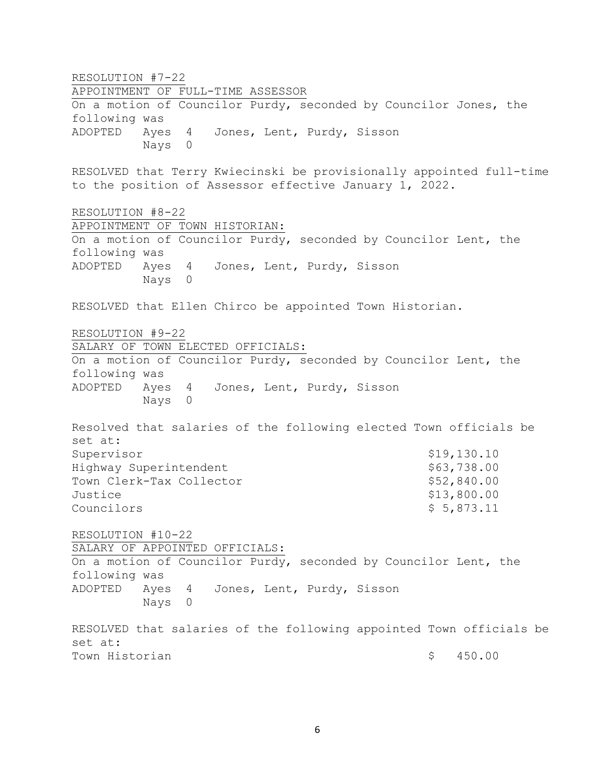RESOLUTION #7-22 APPOINTMENT OF FULL-TIME ASSESSOR On a motion of Councilor Purdy, seconded by Councilor Jones, the following was ADOPTED Ayes 4 Jones, Lent, Purdy, Sisson Nays 0 RESOLVED that Terry Kwiecinski be provisionally appointed full-time to the position of Assessor effective January 1, 2022. RESOLUTION #8-22 APPOINTMENT OF TOWN HISTORIAN: On a motion of Councilor Purdy, seconded by Councilor Lent, the following was ADOPTED Ayes 4 Jones, Lent, Purdy, Sisson Nays 0 RESOLVED that Ellen Chirco be appointed Town Historian. RESOLUTION #9-22 SALARY OF TOWN ELECTED OFFICIALS: On a motion of Councilor Purdy, seconded by Councilor Lent, the following was ADOPTED Ayes 4 Jones, Lent, Purdy, Sisson Nays 0 Resolved that salaries of the following elected Town officials be set at: Supervisor \$19,130.10 Highway Superintendent  $$63,738.00$ Town Clerk-Tax Collector  $$52,840.00$ Justice \$13,800.00  $\text{Countolors}$  \$ 5,873.11 RESOLUTION #10-22 SALARY OF APPOINTED OFFICIALS: On a motion of Councilor Purdy, seconded by Councilor Lent, the following was ADOPTED Ayes 4 Jones, Lent, Purdy, Sisson Nays 0 RESOLVED that salaries of the following appointed Town officials be set at: Town Historian  $\sim$  5 450.00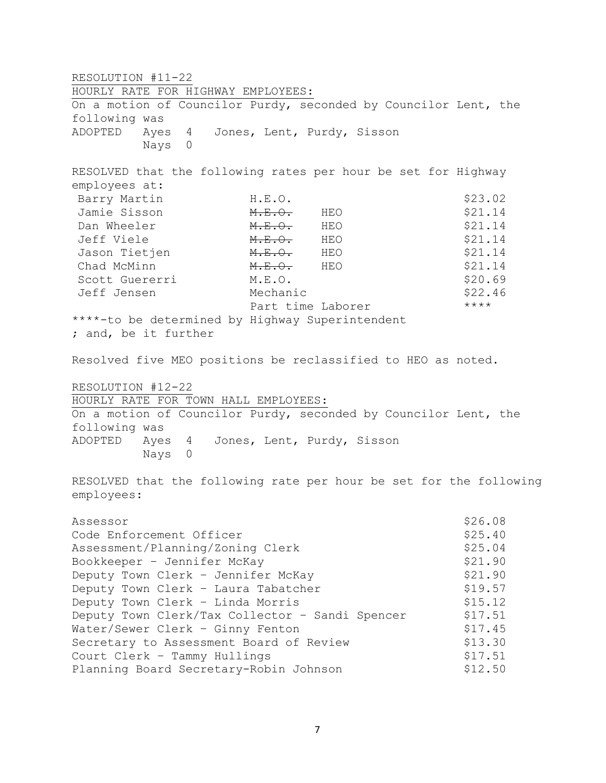RESOLUTION #11-22 HOURLY RATE FOR HIGHWAY EMPLOYEES: On a motion of Councilor Purdy, seconded by Councilor Lent, the following was ADOPTED Ayes 4 Jones, Lent, Purdy, Sisson Nays 0 RESOLVED that the following rates per hour be set for Highway employees at: Barry Martin **H.E.O. H.E.O.** \$23.02 Jamie Sisson M.E.O. HEO \$21.14 Dan Wheeler **M.E.O.** HEO \$21.14 Jeff Viele M.E.O. HEO \$21.14 Jason Tietjen M<del>.E.O.</del> HEO \$21.14 Chad McMinn **M.E.O.** HEO \$21.14 Scott Guererri M.E.O. \$20.69 Jeff Jensen Mechanic  $\sim$  Mechanic \$22.46 Part time Laborer \*\*\*\* \*\*\*\*-to be determined by Highway Superintendent ; and, be it further Resolved five MEO positions be reclassified to HEO as noted. RESOLUTION #12-22 HOURLY RATE FOR TOWN HALL EMPLOYEES: On a motion of Councilor Purdy, seconded by Councilor Lent, the following was ADOPTED Ayes 4 Jones, Lent, Purdy, Sisson Nays 0 RESOLVED that the following rate per hour be set for the following employees: Assessor  $$26.08$ Code Enforcement Officer  $$25.40$ Assessment/Planning/Zoning Clerk  $$25.04$ Bookkeeper - Jennifer McKay  $$21.90$ Deputy Town Clerk - Jennifer McKay 621.90 Deputy Town Clerk - Laura Tabatcher \$19.57 Deputy Town Clerk - Linda Morris  $$15.12$ Deputy Town Clerk/Tax Collector - Sandi Spencer \$17.51 Water/Sewer Clerk - Ginny Fenton  $$17.45$ Secretary to Assessment Board of Review \$13.30 Court Clerk - Tammy Hullings  $$17.51$ Planning Board Secretary-Robin Johnson \$12.50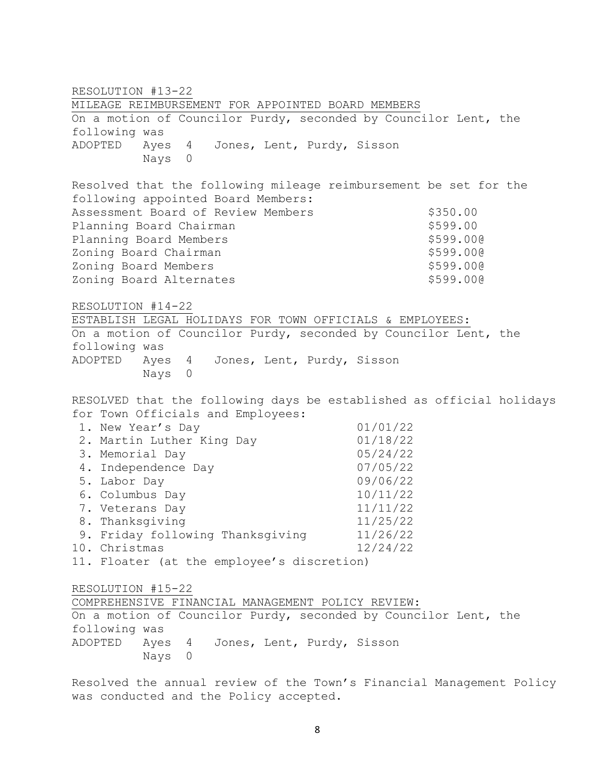RESOLUTION #13-22 MILEAGE REIMBURSEMENT FOR APPOINTED BOARD MEMBERS On a motion of Councilor Purdy, seconded by Councilor Lent, the following was ADOPTED Ayes 4 Jones, Lent, Purdy, Sisson Nays 0 Resolved that the following mileage reimbursement be set for the following appointed Board Members: Assessment Board of Review Members  $$350.00$ Planning Board Chairman **\$599.00** \$599.00 Planning Board Members \$599.000 Zoning Board Chairman **\$599.000** \$599.000 Zoning Board Members **\$599.000** \$599.000 Zoning Board Alternates  $$599.00@$ RESOLUTION #14-22 ESTABLISH LEGAL HOLIDAYS FOR TOWN OFFICIALS & EMPLOYEES: On a motion of Councilor Purdy, seconded by Councilor Lent, the following was ADOPTED Ayes 4 Jones, Lent, Purdy, Sisson Nays 0 RESOLVED that the following days be established as official holidays for Town Officials and Employees: 1. New Year's Day 01/01/22 2. Martin Luther King Day 01/18/22 3. Memorial Day 05/24/22 4. Independence Day 07/05/22 5. Labor Day 09/06/22 6. Columbus Day 10/11/22 7. Veterans Day 11/11/22 8. Thanksgiving 11/25/22 9. Friday following Thanksgiving 11/26/22 10. Christmas 12/24/22 11. Floater (at the employee's discretion) RESOLUTION #15-22 COMPREHENSIVE FINANCIAL MANAGEMENT POLICY REVIEW: On a motion of Councilor Purdy, seconded by Councilor Lent, the following was ADOPTED Ayes 4 Jones, Lent, Purdy, Sisson Nays 0

Resolved the annual review of the Town's Financial Management Policy was conducted and the Policy accepted.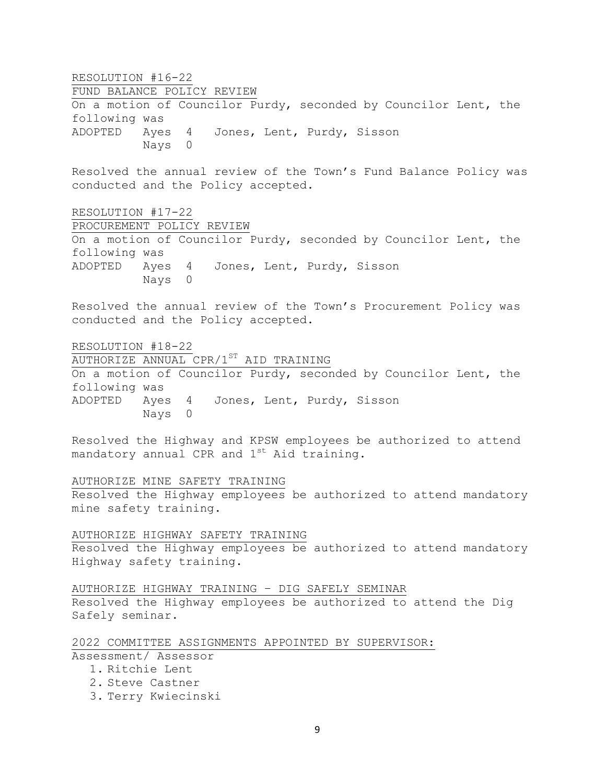RESOLUTION #16-22 FUND BALANCE POLICY REVIEW On a motion of Councilor Purdy, seconded by Councilor Lent, the following was ADOPTED Ayes 4 Jones, Lent, Purdy, Sisson Nays 0 Resolved the annual review of the Town's Fund Balance Policy was conducted and the Policy accepted. RESOLUTION #17-22 PROCUREMENT POLICY REVIEW On a motion of Councilor Purdy, seconded by Councilor Lent, the following was ADOPTED Ayes 4 Jones, Lent, Purdy, Sisson Nays 0 Resolved the annual review of the Town's Procurement Policy was conducted and the Policy accepted. RESOLUTION #18-22 AUTHORIZE ANNUAL CPR/1ST AID TRAINING On a motion of Councilor Purdy, seconded by Councilor Lent, the following was ADOPTED Ayes 4 Jones, Lent, Purdy, Sisson Nays 0 Resolved the Highway and KPSW employees be authorized to attend mandatory annual CPR and  $1^{st}$  Aid training. AUTHORIZE MINE SAFETY TRAINING Resolved the Highway employees be authorized to attend mandatory mine safety training. AUTHORIZE HIGHWAY SAFETY TRAINING Resolved the Highway employees be authorized to attend mandatory Highway safety training. AUTHORIZE HIGHWAY TRAINING – DIG SAFELY SEMINAR Resolved the Highway employees be authorized to attend the Dig Safely seminar. 2022 COMMITTEE ASSIGNMENTS APPOINTED BY SUPERVISOR: Assessment/ Assessor 1. Ritchie Lent 2. Steve Castner 3. Terry Kwiecinski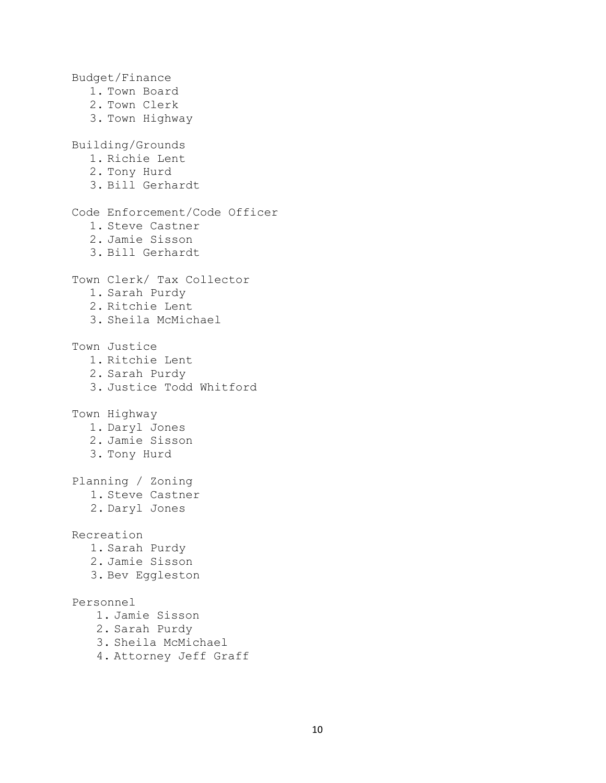Budget/Finance 1. Town Board 2. Town Clerk 3. Town Highway Building/Grounds 1. Richie Lent 2. Tony Hurd 3. Bill Gerhardt Code Enforcement/Code Officer 1. Steve Castner 2. Jamie Sisson 3. Bill Gerhardt Town Clerk/ Tax Collector 1. Sarah Purdy 2. Ritchie Lent 3. Sheila McMichael Town Justice 1. Ritchie Lent 2. Sarah Purdy 3. Justice Todd Whitford Town Highway 1. Daryl Jones 2. Jamie Sisson 3. Tony Hurd Planning / Zoning 1. Steve Castner 2. Daryl Jones Recreation 1. Sarah Purdy 2. Jamie Sisson 3. Bev Eggleston Personnel 1. Jamie Sisson 2. Sarah Purdy 3. Sheila McMichael

4. Attorney Jeff Graff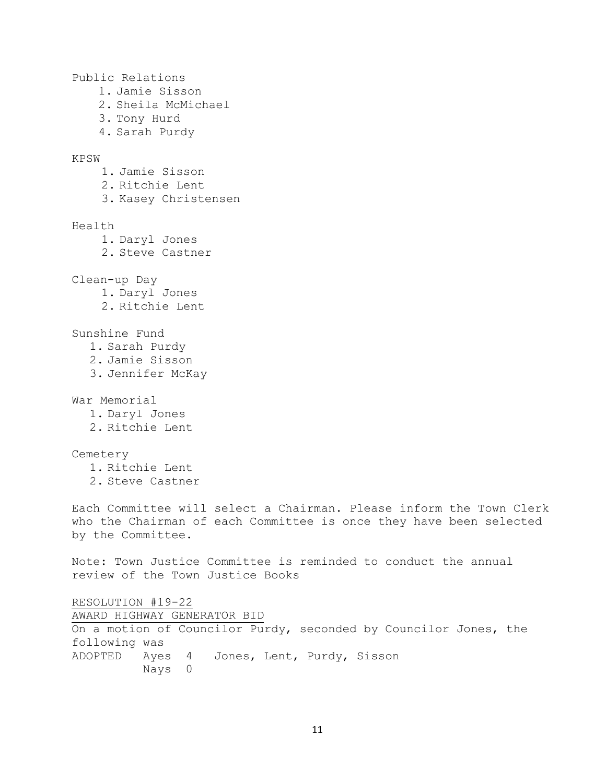Public Relations 1. Jamie Sisson 2. Sheila McMichael 3. Tony Hurd 4. Sarah Purdy KPSW 1. Jamie Sisson 2. Ritchie Lent 3. Kasey Christensen Health 1. Daryl Jones 2. Steve Castner Clean-up Day 1. Daryl Jones 2. Ritchie Lent Sunshine Fund 1. Sarah Purdy 2. Jamie Sisson 3. Jennifer McKay War Memorial 1. Daryl Jones 2. Ritchie Lent Cemetery 1. Ritchie Lent 2. Steve Castner Each Committee will select a Chairman. Please inform the Town Clerk who the Chairman of each Committee is once they have been selected by the Committee. Note: Town Justice Committee is reminded to conduct the annual review of the Town Justice Books RESOLUTION #19-22 AWARD HIGHWAY GENERATOR BID On a motion of Councilor Purdy, seconded by Councilor Jones, the following was ADOPTED Ayes 4 Jones, Lent, Purdy, Sisson Nays 0